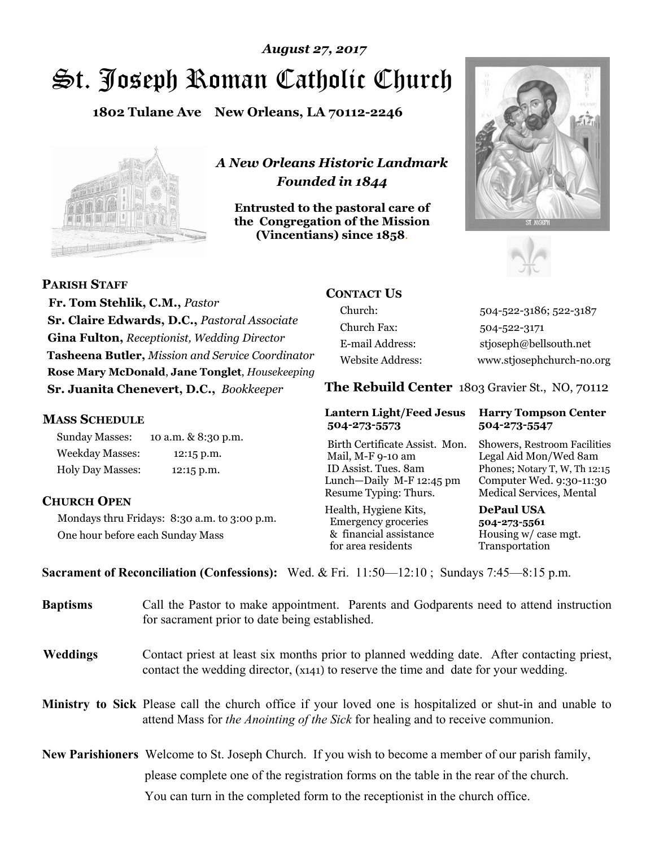# St. Joseph Roman Catholic Church *August 27, 2017*

**1802 Tulane Ave New Orleans, LA 70112-2246**



*A New Orleans Historic Landmark Founded in 1844* 

**Entrusted to the pastoral care of the Congregation of the Mission (Vincentians) since 1858**.





**PARISH STAFF**

 **Fr. Tom Stehlik, C.M.,** *Pastor* **Sr. Claire Edwards, D.C.,** *Pastoral Associate* **Gina Fulton,** *Receptionist, Wedding Director* **Tasheena Butler,** *Mission and Service Coordinator* **Rose Mary McDonald**, **Jane Tonglet**, *Housekeeping* **Sr. Juanita Chenevert, D.C.,** *Bookkeeper* 

#### **MASS SCHEDULE**

Sunday Masses: 10 a.m. & 8:30 p.m. Weekday Masses: 12:15 p.m. Holy Day Masses: 12:15 p.m.

#### **CHURCH OPEN**

Mondays thru Fridays: 8:30 a.m. to 3:00 p.m. One hour before each Sunday Mass

### **CONTACT US**

Church: 504-522-3186; 522-3187 Church Fax: 504-522-3171 E-mail Address: stjoseph@bellsouth.net Website Address: www.stjosephchurch-no.org

**The Rebuild Center** 1803 Gravier St., NO, 70112

#### **Lantern Light/Feed Jesus Harry Tompson Center 504-273-5573 504-273-5547**

Birth Certificate Assist. Mon. Showers, Restroom Facilities Mail, M-F 9-10 am Legal Aid Mon/Wed 8am ID Assist. Tues. 8am Phones; Notary T, W, Th 12:15 Lunch—Daily M-F 12:45 pm Computer Wed. 9:30-11:30 Resume Typing: Thurs. Medical Services, Mental

Health, Hygiene Kits, **DePaul USA**  Emergency groceries **504-273-5561** & financial assistance Housing w/ case mgt.<br>for area residents Transportation for area residents

**Sacrament of Reconciliation (Confessions):** Wed. & Fri. 11:50—12:10 ; Sundays 7:45—8:15 p.m.

| <b>Baptisms</b> | Call the Pastor to make appointment. Parents and Godparents need to attend instruction<br>for sacrament prior to date being established.                                                            |  |
|-----------------|-----------------------------------------------------------------------------------------------------------------------------------------------------------------------------------------------------|--|
| <b>Weddings</b> | Contact priest at least six months prior to planned wedding date. After contacting priest,<br>contact the wedding director, (x141) to reserve the time and date for your wedding.                   |  |
|                 | <b>Ministry to Sick</b> Please call the church office if your loved one is hospitalized or shut-in and unable to<br>attend Mass for the Anointing of the Sick for healing and to receive communion. |  |
|                 | <b>New Parishioners</b> Welcome to St. Joseph Church. If you wish to become a member of our parish family,                                                                                          |  |
|                 | please complete one of the registration forms on the table in the rear of the church.                                                                                                               |  |
|                 | You can turn in the completed form to the reception is the church office.                                                                                                                           |  |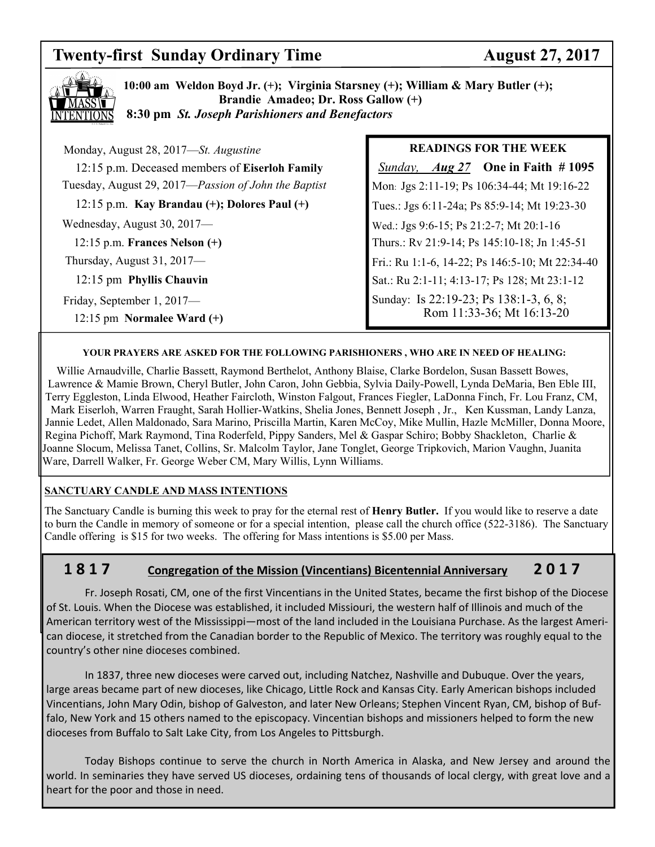## **Twenty-first Sunday Ordinary Time August 27, 2017**



**10:00 am Weldon Boyd Jr. (+); Virginia Starsney (+); William & Mary Butler (+); Brandie Amadeo; Dr. Ross Gallow (+) 8:30 pm** *St. Joseph Parishioners and Benefactors*

| Monday, August 28, 2017-St. Augustine                |  |  |
|------------------------------------------------------|--|--|
| 12:15 p.m. Deceased members of Eiserloh Family       |  |  |
| Tuesday, August 29, 2017—Passion of John the Baptist |  |  |
| $12:15$ p.m. Kay Brandau $(+)$ ; Dolores Paul $(+)$  |  |  |
| Wednesday, August 30, 2017—                          |  |  |
| $12:15$ p.m. Frances Nelson $(+)$                    |  |  |
| Thursday, August $31, 2017$ —                        |  |  |
| 12:15 pm Phyllis Chauvin                             |  |  |
| Friday, September 1, 2017—                           |  |  |
| 12:15 pm Normalee Ward $(+)$                         |  |  |

#### **READINGS FOR THE WEEK**

 *Sunday, Aug 27* **One in Faith # 1095**  Mon: Jgs 2:11-19; Ps 106:34-44; Mt 19:16-22 Tues.: Jgs 6:11-24a; Ps 85:9-14; Mt 19:23-30 Wed.: Jgs 9:6-15; Ps 21:2-7; Mt 20:1-16 Thurs.: Rv 21:9-14; Ps 145:10-18; Jn 1:45-51 Fri.: Ru 1:1-6, 14-22; Ps 146:5-10; Mt 22:34-40 Sat.: Ru 2:1-11; 4:13-17; Ps 128; Mt 23:1-12 Sunday: Is 22:19-23; Ps 138:1-3, 6, 8; Rom 11:33-36; Mt 16:13-20

#### **YOUR PRAYERS ARE ASKED FOR THE FOLLOWING PARISHIONERS , WHO ARE IN NEED OF HEALING:**

 Willie Arnaudville, Charlie Bassett, Raymond Berthelot, Anthony Blaise, Clarke Bordelon, Susan Bassett Bowes, Lawrence & Mamie Brown, Cheryl Butler, John Caron, John Gebbia, Sylvia Daily-Powell, Lynda DeMaria, Ben Eble III, Terry Eggleston, Linda Elwood, Heather Faircloth, Winston Falgout, Frances Fiegler, LaDonna Finch, Fr. Lou Franz, CM, Mark Eiserloh, Warren Fraught, Sarah Hollier-Watkins, Shelia Jones, Bennett Joseph , Jr., Ken Kussman, Landy Lanza, Jannie Ledet, Allen Maldonado, Sara Marino, Priscilla Martin, Karen McCoy, Mike Mullin, Hazle McMiller, Donna Moore, Regina Pichoff, Mark Raymond, Tina Roderfeld, Pippy Sanders, Mel & Gaspar Schiro; Bobby Shackleton, Charlie & Joanne Slocum, Melissa Tanet, Collins, Sr. Malcolm Taylor, Jane Tonglet, George Tripkovich, Marion Vaughn, Juanita Ware, Darrell Walker, Fr. George Weber CM, Mary Willis, Lynn Williams.

#### **SANCTUARY CANDLE AND MASS INTENTIONS**

The Sanctuary Candle is burning this week to pray for the eternal rest of **Henry Butler.** If you would like to reserve a date to burn the Candle in memory of someone or for a special intention, please call the church office (522-3186). The Sanctuary Candle offering is \$15 for two weeks. The offering for Mass intentions is \$5.00 per Mass.

#### **1 8 1 7 Congregation of the Mission (Vincentians) Bicentennial Anniversary 2 0 1 7**

 Fr. Joseph Rosati, CM, one of the first Vincentians in the United States, became the first bishop of the Diocese of St. Louis. When the Diocese was established, it included Missiouri, the western half of Illinois and much of the American territory west of the Mississippi—most of the land included in the Louisiana Purchase. As the largest American diocese, it stretched from the Canadian border to the Republic of Mexico. The territory was roughly equal to the country's other nine dioceses combined.

 In 1837, three new dioceses were carved out, including Natchez, Nashville and Dubuque. Over the years, large areas became part of new dioceses, like Chicago, Little Rock and Kansas City. Early American bishops included Vincentians, John Mary Odin, bishop of Galveston, and later New Orleans; Stephen Vincent Ryan, CM, bishop of Buffalo, New York and 15 others named to the episcopacy. Vincentian bishops and missioners helped to form the new dioceses from Buffalo to Salt Lake City, from Los Angeles to Pittsburgh.

 Today Bishops continue to serve the church in North America in Alaska, and New Jersey and around the world. In seminaries they have served US dioceses, ordaining tens of thousands of local clergy, with great love and a heart for the poor and those in need.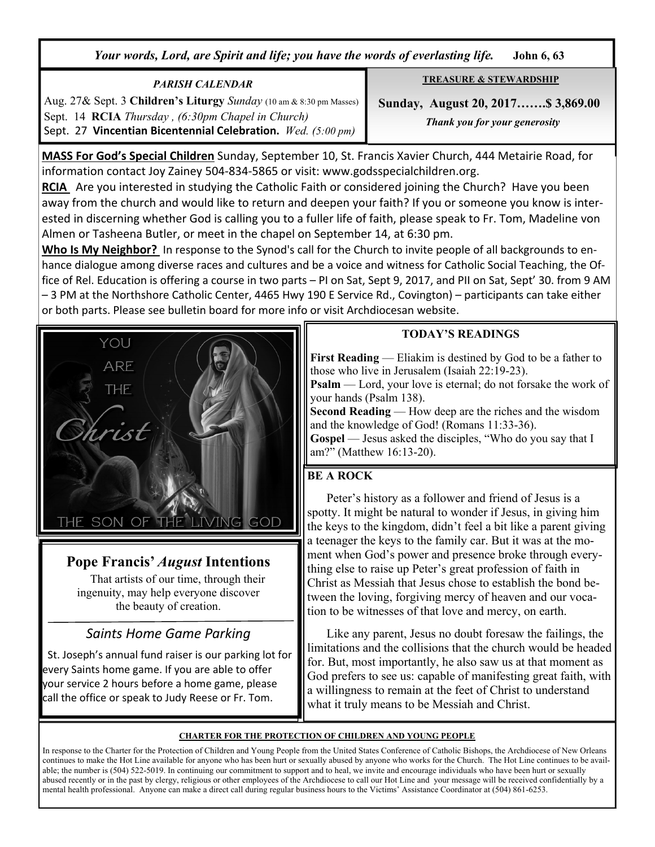*Your words, Lord, are Spirit and life; you have the words of everlasting life.* **John 6, 63**

#### *PARISH CALENDAR*  Aug. 27& Sept. 3 **Children's Liturgy** *Sunday* (10 am & 8:30 pm Masses) Sept. 14 **RCIA** *Thursday , (6:30pm Chapel in Church)*  Sept. 27 **Vincentian Bicentennial Celebration.** *Wed. (5:00 pm)*

**MASS For God's Special Children** Sunday, September 10, St. Francis Xavier Church, 444 Metairie Road, for information contact Joy Zainey 504-834-5865 or visit: www.godsspecialchildren.org.

**RCIA** Are you interested in studying the Catholic Faith or considered joining the Church? Have you been away from the church and would like to return and deepen your faith? If you or someone you know is interested in discerning whether God is calling you to a fuller life of faith, please speak to Fr. Tom, Madeline von Almen or Tasheena Butler, or meet in the chapel on September 14, at 6:30 pm.

**Who Is My Neighbor?** In response to the Synod's call for the Church to invite people of all backgrounds to enhance dialogue among diverse races and cultures and be a voice and witness for Catholic Social Teaching, the Office of Rel. Education is offering a course in two parts – PI on Sat, Sept 9, 2017, and PII on Sat, Sept' 30. from 9 AM – 3 PM at the Northshore Catholic Center, 4465 Hwy 190 E Service Rd., Covington) – participants can take either or both parts. Please see bulletin board for more info or visit Archdiocesan website.



**First Reading** — Eliakim is destined by God to be a father to those who live in Jerusalem (Isaiah 22:19-23).

**Psalm** — Lord, your love is eternal; do not forsake the work of your hands (Psalm 138).

**Second Reading** — How deep are the riches and the wisdom and the knowledge of God! (Romans 11:33-36).

**Gospel** — Jesus asked the disciples, "Who do you say that I am?" (Matthew 16:13-20).

### **BE A ROCK**

 Peter's history as a follower and friend of Jesus is a spotty. It might be natural to wonder if Jesus, in giving him the keys to the kingdom, didn't feel a bit like a parent giving a teenager the keys to the family car. But it was at the moment when God's power and presence broke through everything else to raise up Peter's great profession of faith in Christ as Messiah that Jesus chose to establish the bond between the loving, forgiving mercy of heaven and our vocation to be witnesses of that love and mercy, on earth.

 Like any parent, Jesus no doubt foresaw the failings, the limitations and the collisions that the church would be headed for. But, most importantly, he also saw us at that moment as God prefers to see us: capable of manifesting great faith, with a willingness to remain at the feet of Christ to understand what it truly means to be Messiah and Christ.

#### **CHARTER FOR THE PROTECTION OF CHILDREN AND YOUNG PEOPLE**

In response to the Charter for the Protection of Children and Young People from the United States Conference of Catholic Bishops, the Archdiocese of New Orleans continues to make the Hot Line available for anyone who has been hurt or sexually abused by anyone who works for the Church. The Hot Line continues to be available; the number is (504) 522-5019. In continuing our commitment to support and to heal, we invite and encourage individuals who have been hurt or sexually abused recently or in the past by clergy, religious or other employees of the Archdiocese to call our Hot Line and your message will be received confidentially by a mental health professional. Anyone can make a direct call during regular business hours to the Victims' Assistance Coordinator at (504) 861-6253.

## **Pope Francis'** *August* **Intentions**

That artists of our time, through their ingenuity, may help everyone discover the beauty of creation.

## *Saints Home Game Parking*

 St. Joseph's annual fund raiser is our parking lot for every Saints home game. If you are able to offer your service 2 hours before a home game, please call the office or speak to Judy Reese or Fr. Tom.

 **Sunday, August 20, 2017…….\$ 3,869.00** *Thank you for your generosity* 

**TREASURE & STEWARDSHIP**